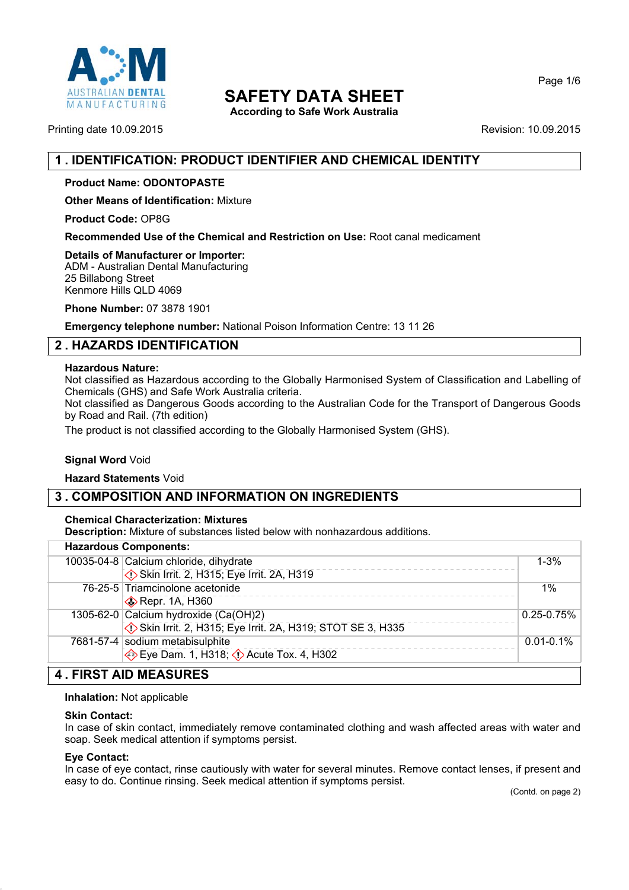

**According to Safe Work Australia**

Printing date 10.09.2015 **Revision: 10.09.2015** Revision: 10.09.2015

# **1 . IDENTIFICATION: PRODUCT IDENTIFIER AND CHEMICAL IDENTITY**

## **Product Name: ODONTOPASTE**

**Other Means of Identification:** Mixture

**Product Code:** OP8G

**Recommended Use of the Chemical and Restriction on Use:** Root canal medicament

**Details of Manufacturer or Importer:** ADM - Australian Dental Manufacturing 25 Billabong Street Kenmore Hills QLD 4069

**Phone Number:** 07 3878 1901

**Emergency telephone number:** National Poison Information Centre: 13 11 26

# **2 . HAZARDS IDENTIFICATION**

### **Hazardous Nature:**

Not classified as Hazardous according to the Globally Harmonised System of Classification and Labelling of Chemicals (GHS) and Safe Work Australia criteria.

Not classified as Dangerous Goods according to the Australian Code for the Transport of Dangerous Goods by Road and Rail. (7th edition)

The product is not classified according to the Globally Harmonised System (GHS).

## **Signal Word Void**

**Hazard Statements** Void

# **3 . COMPOSITION AND INFORMATION ON INGREDIENTS**

### **Chemical Characterization: Mixtures**

**Description:** Mixture of substances listed below with nonhazardous additions.

|                              | <b>Hazardous Components:</b>                              |                |
|------------------------------|-----------------------------------------------------------|----------------|
|                              | 10035-04-8 Calcium chloride, dihydrate                    | $1 - 3%$       |
|                              | Skin Irrit. 2, H315; Eye Irrit. 2A, H319                  |                |
|                              | 76-25-5 Triamcinolone acetonide                           | $1\%$          |
|                              | Repr. 1A, H360                                            |                |
|                              | 1305-62-0 Calcium hydroxide (Ca(OH)2)                     | $0.25 - 0.75%$ |
|                              | Skin Irrit. 2, H315; Eye Irrit. 2A, H319; STOT SE 3, H335 |                |
|                              | 7681-57-4 sodium metabisulphite                           | $0.01 - 0.1\%$ |
|                              | Eye Dam. 1, H318; $\Diamond$ Acute Tox. 4, H302           |                |
| <b>4. FIRST AID MEASURES</b> |                                                           |                |

## **Inhalation:** Not applicable

### **Skin Contact:**

In case of skin contact, immediately remove contaminated clothing and wash affected areas with water and soap. Seek medical attention if symptoms persist.

### **Eye Contact:**

In case of eye contact, rinse cautiously with water for several minutes. Remove contact lenses, if present and easy to do. Continue rinsing. Seek medical attention if symptoms persist.

Page 1/6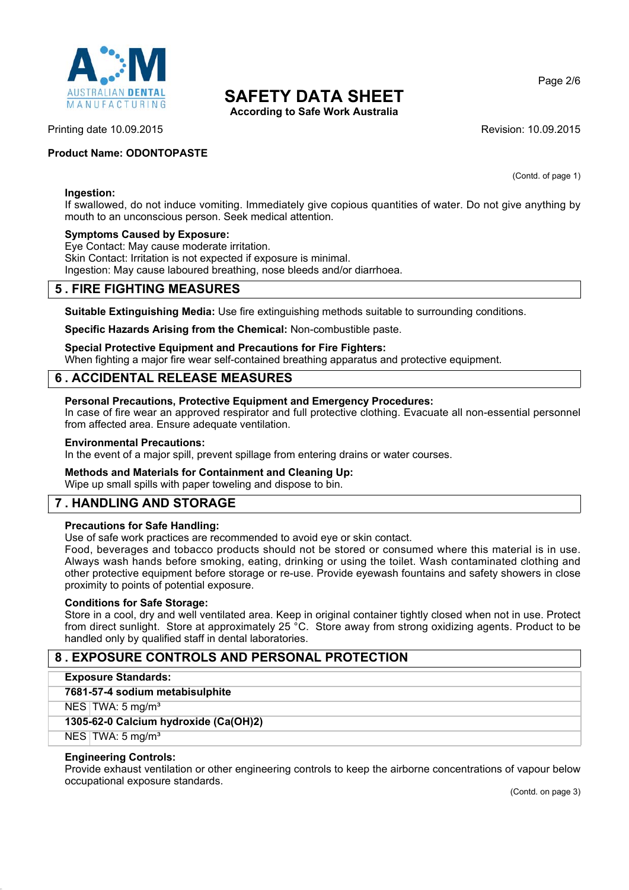

**According to Safe Work Australia**

(Contd. of page 1)

Page 2/6

### Printing date 10.09.2015 **Revision: 10.09.2015** Revision: 10.09.2015

## **Product Name: ODONTOPASTE**

### **Ingestion:**

If swallowed, do not induce vomiting. Immediately give copious quantities of water. Do not give anything by mouth to an unconscious person. Seek medical attention.

### **Symptoms Caused by Exposure:**

Eye Contact: May cause moderate irritation. Skin Contact: Irritation is not expected if exposure is minimal. Ingestion: May cause laboured breathing, nose bleeds and/or diarrhoea.

## **5 . FIRE FIGHTING MEASURES**

**Suitable Extinguishing Media:** Use fire extinguishing methods suitable to surrounding conditions.

**Specific Hazards Arising from the Chemical:** Non-combustible paste.

#### **Special Protective Equipment and Precautions for Fire Fighters:**

When fighting a major fire wear self-contained breathing apparatus and protective equipment.

## **6 . ACCIDENTAL RELEASE MEASURES**

### **Personal Precautions, Protective Equipment and Emergency Procedures:**

In case of fire wear an approved respirator and full protective clothing. Evacuate all non-essential personnel from affected area. Ensure adequate ventilation.

#### **Environmental Precautions:**

In the event of a major spill, prevent spillage from entering drains or water courses.

### **Methods and Materials for Containment and Cleaning Up:**

Wipe up small spills with paper toweling and dispose to bin.

# **7 . HANDLING AND STORAGE**

### **Precautions for Safe Handling:**

Use of safe work practices are recommended to avoid eye or skin contact.

Food, beverages and tobacco products should not be stored or consumed where this material is in use. Always wash hands before smoking, eating, drinking or using the toilet. Wash contaminated clothing and other protective equipment before storage or re-use. Provide eyewash fountains and safety showers in close proximity to points of potential exposure.

### **Conditions for Safe Storage:**

Store in a cool, dry and well ventilated area. Keep in original container tightly closed when not in use. Protect from direct sunlight. Store at approximately 25 °C. Store away from strong oxidizing agents. Product to be handled only by qualified staff in dental laboratories.

# **8 . EXPOSURE CONTROLS AND PERSONAL PROTECTION**

|  | <b>Exposure Standards:</b> |
|--|----------------------------|
|--|----------------------------|

**7681-57-4 sodium metabisulphite**

 $NES$  TWA: 5 mg/m<sup>3</sup>

**1305-62-0 Calcium hydroxide (Ca(OH)2)**

 $NES$  TWA: 5 mg/m<sup>3</sup>

### **Engineering Controls:**

Provide exhaust ventilation or other engineering controls to keep the airborne concentrations of vapour below occupational exposure standards.

(Contd. on page 3)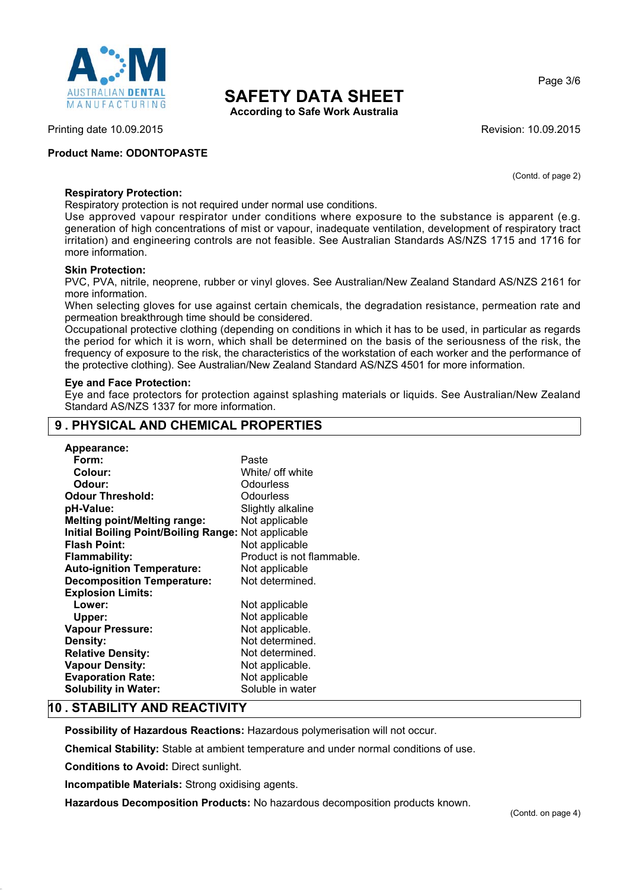

**According to Safe Work Australia**

Printing date 10.09.2015 **Revision: 10.09.2015** Revision: 10.09.2015

## **Product Name: ODONTOPASTE**

(Contd. of page 2)

Page 3/6

## **Respiratory Protection:**

Respiratory protection is not required under normal use conditions.

Use approved vapour respirator under conditions where exposure to the substance is apparent (e.g. generation of high concentrations of mist or vapour, inadequate ventilation, development of respiratory tract irritation) and engineering controls are not feasible. See Australian Standards AS/NZS 1715 and 1716 for more information.

### **Skin Protection:**

PVC, PVA, nitrile, neoprene, rubber or vinyl gloves. See Australian/New Zealand Standard AS/NZS 2161 for more information.

When selecting gloves for use against certain chemicals, the degradation resistance, permeation rate and permeation breakthrough time should be considered.

Occupational protective clothing (depending on conditions in which it has to be used, in particular as regards the period for which it is worn, which shall be determined on the basis of the seriousness of the risk, the frequency of exposure to the risk, the characteristics of the workstation of each worker and the performance of the protective clothing). See Australian/New Zealand Standard AS/NZS 4501 for more information.

### **Eye and Face Protection:**

Eye and face protectors for protection against splashing materials or liquids. See Australian/New Zealand Standard AS/NZS 1337 for more information.

# **9 . PHYSICAL AND CHEMICAL PROPERTIES**

| <b>Appearance:</b>                                  |                           |
|-----------------------------------------------------|---------------------------|
| Form:                                               | Paste                     |
| Colour:                                             | White/ off white          |
| Odour:                                              | Odourless                 |
| <b>Odour Threshold:</b>                             | Odourless                 |
| pH-Value:                                           | Slightly alkaline         |
| <b>Melting point/Melting range:</b>                 | Not applicable            |
| Initial Boiling Point/Boiling Range: Not applicable |                           |
| <b>Flash Point:</b>                                 | Not applicable            |
| <b>Flammability:</b>                                | Product is not flammable. |
| <b>Auto-ignition Temperature:</b>                   | Not applicable            |
| <b>Decomposition Temperature:</b>                   | Not determined.           |
| <b>Explosion Limits:</b>                            |                           |
| Lower:                                              | Not applicable            |
| Upper:                                              | Not applicable            |
| <b>Vapour Pressure:</b>                             | Not applicable.           |
| Density:                                            | Not determined.           |
| <b>Relative Density:</b>                            | Not determined.           |
| <b>Vapour Density:</b>                              | Not applicable.           |
| <b>Evaporation Rate:</b>                            | Not applicable            |
| <b>Solubility in Water:</b>                         | Soluble in water          |

# **10 . STABILITY AND REACTIVITY**

**Possibility of Hazardous Reactions:** Hazardous polymerisation will not occur.

**Chemical Stability:** Stable at ambient temperature and under normal conditions of use.

**Conditions to Avoid:** Direct sunlight.

**Incompatible Materials:** Strong oxidising agents.

**Hazardous Decomposition Products:** No hazardous decomposition products known.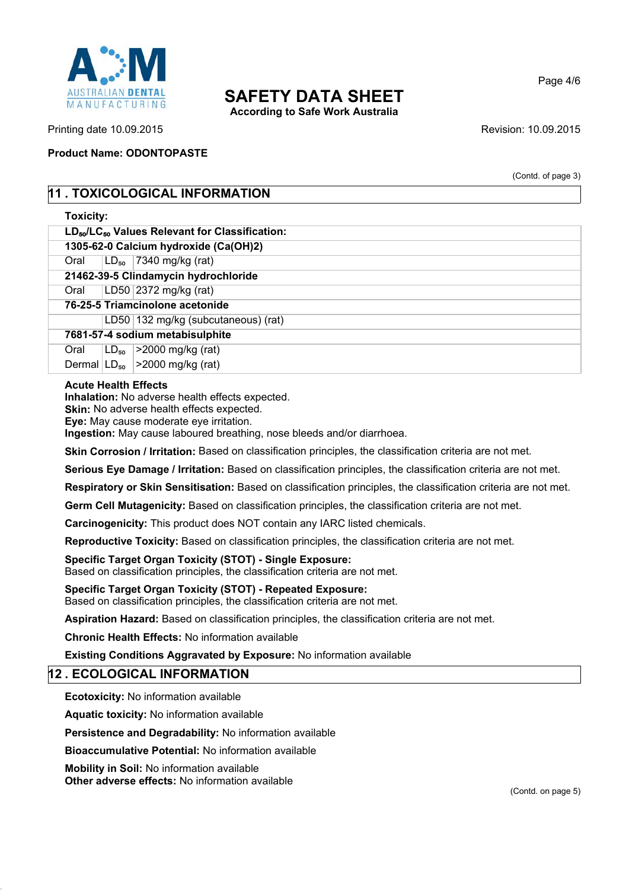

**According to Safe Work Australia**

Printing date 10.09.2015 **Revision: 10.09.2015** Revision: 10.09.2015

**Product Name: ODONTOPASTE**

(Contd. of page 3)

Page 4/6

# **11 . TOXICOLOGICAL INFORMATION**

## **Toxicity:**

| 1305-62-0 Calcium hydroxide (Ca(OH)2) |  |
|---------------------------------------|--|
|---------------------------------------|--|

| Oral                      | $ LD_{50} $ 7340 mg/kg (rat)         |
|---------------------------|--------------------------------------|
|                           | 21462-39-5 Clindamycin hydrochloride |
| - - - - - - - - - - - - - |                                      |

Oral LD50 2372 mg/kg (rat)

**76-25-5 Triamcinolone acetonide**

LD50 132 mg/kg (subcutaneous) (rat)

**7681-57-4 sodium metabisulphite**

Oral  $LD_{50}$  >2000 mg/kg (rat) Dermal  $|LD_{50}| > 2000$  mg/kg (rat)

## **Acute Health Effects**

**Inhalation:** No adverse health effects expected.

**Skin:** No adverse health effects expected.

**Eye:** May cause moderate eye irritation.

**Ingestion:** May cause laboured breathing, nose bleeds and/or diarrhoea.

**Skin Corrosion / Irritation:** Based on classification principles, the classification criteria are not met.

**Serious Eye Damage / Irritation:** Based on classification principles, the classification criteria are not met.

**Respiratory or Skin Sensitisation:** Based on classification principles, the classification criteria are not met.

**Germ Cell Mutagenicity:** Based on classification principles, the classification criteria are not met.

**Carcinogenicity:** This product does NOT contain any IARC listed chemicals.

**Reproductive Toxicity:** Based on classification principles, the classification criteria are not met.

**Specific Target Organ Toxicity (STOT) - Single Exposure:**

Based on classification principles, the classification criteria are not met.

**Specific Target Organ Toxicity (STOT) - Repeated Exposure:** Based on classification principles, the classification criteria are not met.

**Aspiration Hazard:** Based on classification principles, the classification criteria are not met.

**Chronic Health Effects:** No information available

**Existing Conditions Aggravated by Exposure:** No information available

# **12 . ECOLOGICAL INFORMATION**

**Ecotoxicity:** No information available

**Aquatic toxicity:** No information available

**Persistence and Degradability:** No information available

**Bioaccumulative Potential:** No information available

**Mobility in Soil:** No information available **Other adverse effects:** No information available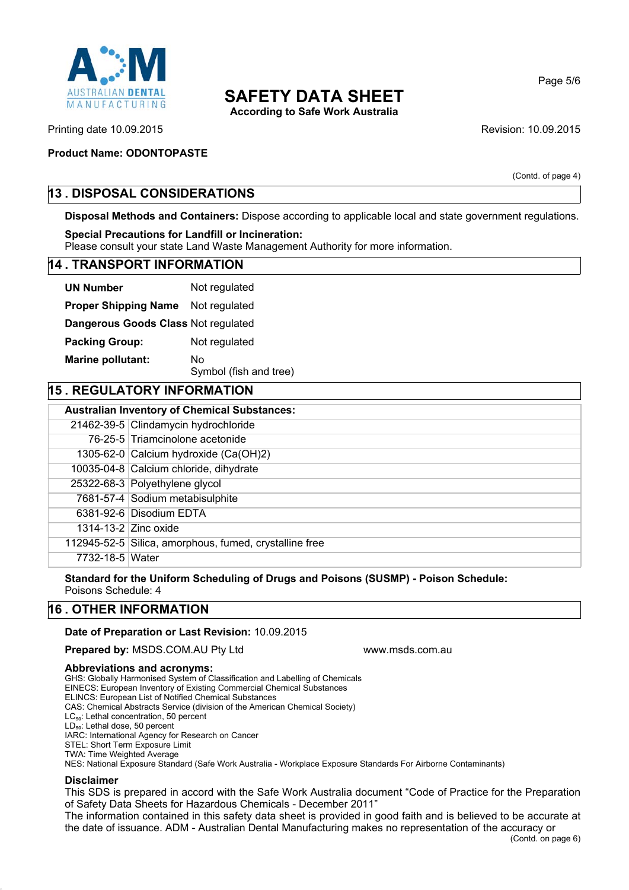

**According to Safe Work Australia**

Page 5/6

Printing date 10.09.2015 **Revision: 10.09.2015** Revision: 10.09.2015

## **Product Name: ODONTOPASTE**

(Contd. of page 4)

# **13 . DISPOSAL CONSIDERATIONS**

**Disposal Methods and Containers:** Dispose according to applicable local and state government regulations.

### **Special Precautions for Landfill or Incineration:**

Please consult your state Land Waste Management Authority for more information.

### **14 . TRANSPORT INFORMATION**

| <b>UN Number</b>                    | Not regulated                |
|-------------------------------------|------------------------------|
| <b>Proper Shipping Name</b>         | Not regulated                |
| Dangerous Goods Class Not regulated |                              |
| <b>Packing Group:</b>               | Not regulated                |
| <b>Marine pollutant:</b>            | No<br>Symbol (fish and tree) |

# **15 REGULATORY INFORMATION**

| <b>Australian Inventory of Chemical Substances:</b> |                                                        |  |
|-----------------------------------------------------|--------------------------------------------------------|--|
|                                                     | 21462-39-5 Clindamycin hydrochloride                   |  |
|                                                     | 76-25-5 Triamcinolone acetonide                        |  |
|                                                     | 1305-62-0 Calcium hydroxide $(Ca(OH)2)$                |  |
|                                                     | 10035-04-8 Calcium chloride, dihydrate                 |  |
|                                                     | 25322-68-3 Polyethylene glycol                         |  |
|                                                     | 7681-57-4 Sodium metabisulphite                        |  |
|                                                     | 6381-92-6 Disodium EDTA                                |  |
|                                                     | 1314-13-2 Zinc oxide                                   |  |
|                                                     | 112945-52-5 Silica, amorphous, fumed, crystalline free |  |
| 7732-18-5 Water                                     |                                                        |  |

**Standard for the Uniform Scheduling of Drugs and Poisons (SUSMP) - Poison Schedule:** Poisons Schedule: 4

# **16 . OTHER INFORMATION**

### **Date of Preparation or Last Revision:** 10.09.2015

**Prepared by: MSDS.COM.AU Pty Ltd www.msds.com.au** 

#### **Abbreviations and acronyms:**

GHS: Globally Harmonised System of Classification and Labelling of Chemicals

EINECS: European Inventory of Existing Commercial Chemical Substances

ELINCS: European List of Notified Chemical Substances

CAS: Chemical Abstracts Service (division of the American Chemical Society)

LC<sub>50</sub>: Lethal concentration, 50 percent

LD<sub>50</sub>: Lethal dose, 50 percent IARC: International Agency for Research on Cancer

STEL: Short Term Exposure Limit

TWA: Time Weighted Average

NES: National Exposure Standard (Safe Work Australia - Workplace Exposure Standards For Airborne Contaminants)

### **Disclaimer**

This SDS is prepared in accord with the Safe Work Australia document "Code of Practice for the Preparation of Safety Data Sheets for Hazardous Chemicals - December 2011"

The information contained in this safety data sheet is provided in good faith and is believed to be accurate at the date of issuance. ADM - Australian Dental Manufacturing makes no representation of the accuracy or